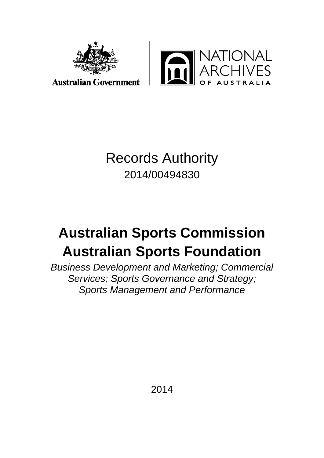



**Australian Government** 

## Records Authority 2014/00494830

# **Australian Sports Commission Australian Sports Foundation**

*Business Development and Marketing; Commercial Services; Sports Governance and Strategy; Sports Management and Performance*

2014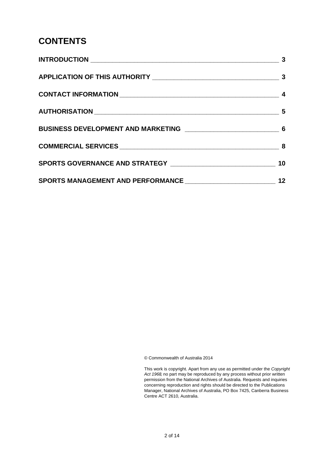#### **CONTENTS**

| SPORTS MANAGEMENT AND PERFORMANCE __________________________ | 12 |
|--------------------------------------------------------------|----|

© Commonwealth of Australia 2014

This work is copyright. Apart from any use as permitted under the *Copyright Act 1968,* no part may be reproduced by any process without prior written permission from the National Archives of Australia. Requests and inquiries concerning reproduction and rights should be directed to the Publications Manager, National Archives of Australia, PO Box 7425, Canberra Business Centre ACT 2610, Australia.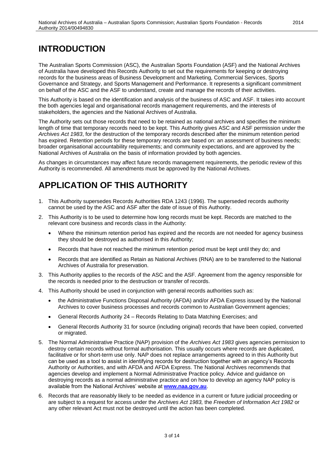#### **INTRODUCTION**

The Australian Sports Commission (ASC), the Australian Sports Foundation (ASF) and the National Archives of Australia have developed this Records Authority to set out the requirements for keeping or destroying records for the business areas of Business Development and Marketing, Commercial Services, Sports Governance and Strategy, and Sports Management and Performance. It represents a significant commitment on behalf of the ASC and the ASF to understand, create and manage the records of their activities.

This Authority is based on the identification and analysis of the business of ASC and ASF. It takes into account the both agencies legal and organisational records management requirements, and the interests of stakeholders, the agencies and the National Archives of Australia.

The Authority sets out those records that need to be retained as national archives and specifies the minimum length of time that temporary records need to be kept. This Authority gives ASC and ASF permission under the *Archives Act 1983*, for the destruction of the temporary records described after the minimum retention period has expired. Retention periods for these temporary records are based on: an assessment of business needs; broader organisational accountability requirements; and community expectations, and are approved by the National Archives of Australia on the basis of information provided by both agencies.

As changes in circumstances may affect future records management requirements, the periodic review of this Authority is recommended. All amendments must be approved by the National Archives.

#### **APPLICATION OF THIS AUTHORITY**

- 1. This Authority supersedes Records Authorities RDA 1243 (1996). The superseded records authority cannot be used by the ASC and ASF after the date of issue of this Authority.
- 2. This Authority is to be used to determine how long records must be kept. Records are matched to the relevant core business and records class in the Authority:
	- Where the minimum retention period has expired and the records are not needed for agency business they should be destroyed as authorised in this Authority;
	- Records that have not reached the minimum retention period must be kept until they do; and
	- Records that are identified as Retain as National Archives (RNA) are to be transferred to the National Archives of Australia for preservation.
- 3. This Authority applies to the records of the ASC and the ASF. Agreement from the agency responsible for the records is needed prior to the destruction or transfer of records.
- 4. This Authority should be used in conjunction with general records authorities such as:
	- the Administrative Functions Disposal Authority (AFDA) and/or AFDA Express issued by the National Archives to cover business processes and records common to Australian Government agencies;
	- General Records Authority 24 Records Relating to Data Matching Exercises; and
	- General Records Authority 31 for source (including original) records that have been copied, converted or migrated.
- 5. The Normal Administrative Practice (NAP) provision of the *Archives Act 1983* gives agencies permission to destroy certain records without formal authorisation. This usually occurs where records are duplicated, facilitative or for short-term use only. NAP does not replace arrangements agreed to in this Authority but can be used as a tool to assist in identifying records for destruction together with an agency's Records Authority or Authorities, and with AFDA and AFDA Express. The National Archives recommends that agencies develop and implement a Normal Administrative Practice policy. Advice and guidance on destroying records as a normal administrative practice and on how to develop an agency NAP policy is available from the National Archives' website at **[www.naa.gov.au](http://www.naa.gov.au/)**.
- 6. Records that are reasonably likely to be needed as evidence in a current or future judicial proceeding or are subject to a request for access under the *Archives Act 1983,* the *Freedom of Information Act 1982* or any other relevant Act must not be destroyed until the action has been completed.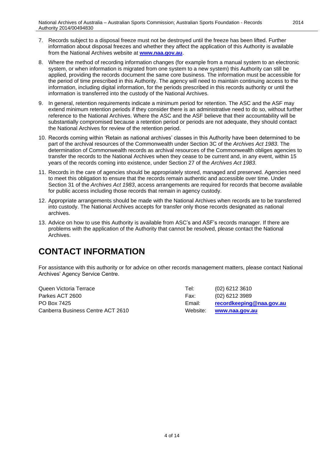- 7. Records subject to a disposal freeze must not be destroyed until the freeze has been lifted. Further information about disposal freezes and whether they affect the application of this Authority is available from the National Archives website at **[www.naa.gov.au](http://www.naa.gov.au/)**.
- 8. Where the method of recording information changes (for example from a manual system to an electronic system, or when information is migrated from one system to a new system) this Authority can still be applied, providing the records document the same core business. The information must be accessible for the period of time prescribed in this Authority. The agency will need to maintain continuing access to the information, including digital information, for the periods prescribed in this records authority or until the information is transferred into the custody of the National Archives.
- 9. In general, retention requirements indicate a minimum period for retention. The ASC and the ASF may extend minimum retention periods if they consider there is an administrative need to do so, without further reference to the National Archives. Where the ASC and the ASF believe that their accountability will be substantially compromised because a retention period or periods are not adequate, they should contact the National Archives for review of the retention period.
- 10. Records coming within 'Retain as national archives' classes in this Authority have been determined to be part of the archival resources of the Commonwealth under Section 3C of the *Archives Act 1983*. The determination of Commonwealth records as archival resources of the Commonwealth obliges agencies to transfer the records to the National Archives when they cease to be current and, in any event, within 15 years of the records coming into existence, under Section 27 of the *Archives Act 1983*.
- 11. Records in the care of agencies should be appropriately stored, managed and preserved. Agencies need to meet this obligation to ensure that the records remain authentic and accessible over time. Under Section 31 of the *Archives Act 1983*, access arrangements are required for records that become available for public access including those records that remain in agency custody.
- 12. Appropriate arrangements should be made with the National Archives when records are to be transferred into custody. The National Archives accepts for transfer only those records designated as national archives.
- 13. Advice on how to use this Authority is available from ASC's and ASF's records manager. If there are problems with the application of the Authority that cannot be resolved, please contact the National Archives.

#### **CONTACT INFORMATION**

For assistance with this authority or for advice on other records management matters, please contact National Archives' Agency Service Centre.

| Queen Victoria Terrace            | Tel:   | (02) 6212 3610           |
|-----------------------------------|--------|--------------------------|
| Parkes ACT 2600_                  | Fax:   | (02) 6212 3989           |
| PO Box 7425                       | Email: | recordkeeping@naa.gov.au |
| Canberra Business Centre ACT 2610 |        | Website: www.naa.gov.au  |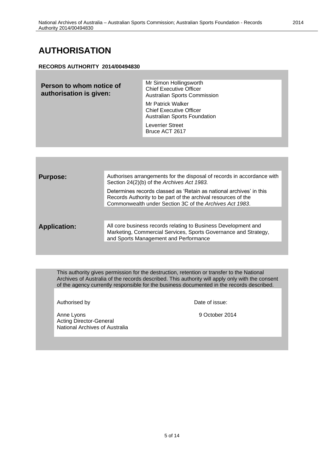#### **AUTHORISATION**

#### **RECORDS AUTHORITY 2014/00494830**

| Person to whom notice of<br>authorisation is given: | Mr Simon Hollingsworth<br><b>Chief Executive Officer</b><br>Australian Sports Commission   |
|-----------------------------------------------------|--------------------------------------------------------------------------------------------|
|                                                     | Mr Patrick Walker<br><b>Chief Executive Officer</b><br><b>Australian Sports Foundation</b> |
|                                                     | <b>Leverrier Street</b><br>Bruce ACT 2617                                                  |
|                                                     |                                                                                            |

| <b>Purpose:</b>     | Authorises arrangements for the disposal of records in accordance with<br>Section 24(2)(b) of the Archives Act 1983.                                                                            |
|---------------------|-------------------------------------------------------------------------------------------------------------------------------------------------------------------------------------------------|
|                     | Determines records classed as 'Retain as national archives' in this<br>Records Authority to be part of the archival resources of the<br>Commonwealth under Section 3C of the Archives Act 1983. |
|                     |                                                                                                                                                                                                 |
| <b>Application:</b> | All core business records relating to Business Development and<br>Marketing, Commercial Services, Sports Governance and Strategy,<br>and Sports Management and Performance                      |
|                     |                                                                                                                                                                                                 |

This authority gives permission for the destruction, retention or transfer to the National Archives of Australia of the records described. This authority will apply only with the consent of the agency currently responsible for the business documented in the records described.

Authorised by **Date of issue:** 

Anne Lyons 9 October 2014 Acting Director-General National Archives of Australia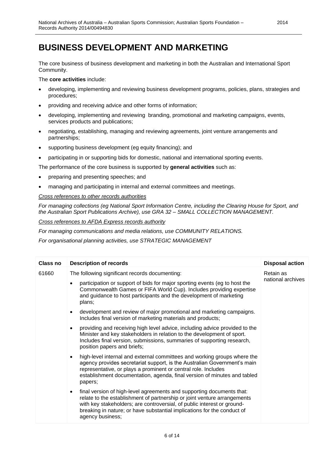#### **BUSINESS DEVELOPMENT AND MARKETING**

The core business of business development and marketing in both the Australian and International Sport Community.

The **core activities** include:

- developing, implementing and reviewing business development programs, policies, plans, strategies and procedures;
- providing and receiving advice and other forms of information;
- developing, implementing and reviewing branding, promotional and marketing campaigns, events, services products and publications;
- negotiating, establishing, managing and reviewing agreements, joint venture arrangements and partnerships;
- supporting business development (eg equity financing); and
- participating in or supporting bids for domestic, national and international sporting events.

The performance of the core business is supported by **general activities** such as:

- preparing and presenting speeches; and
- managing and participating in internal and external committees and meetings.

*Cross references to other records authorities*

*For managing collections (eg National Sport Information Centre, including the Clearing House for Sport, and the Australian Sport Publications Archive), use GRA 32 – SMALL COLLECTION MANAGEMENT.*

*Cross references to AFDA Express records authority*

*For managing communications and media relations, use COMMUNITY RELATIONS.*

*For organisational planning activities, use STRATEGIC MANAGEMENT*

| <b>Class no</b> | <b>Description of records</b>                                                                                                                                                                                                                                                                                                            | <b>Disposal action</b>         |
|-----------------|------------------------------------------------------------------------------------------------------------------------------------------------------------------------------------------------------------------------------------------------------------------------------------------------------------------------------------------|--------------------------------|
| 61660           | The following significant records documenting:                                                                                                                                                                                                                                                                                           | Retain as<br>national archives |
|                 | participation or support of bids for major sporting events (eg to host the<br>$\bullet$<br>Commonwealth Games or FIFA World Cup). Includes providing expertise<br>and guidance to host participants and the development of marketing<br>plans;                                                                                           |                                |
|                 | development and review of major promotional and marketing campaigns.<br>$\bullet$<br>Includes final version of marketing materials and products;                                                                                                                                                                                         |                                |
|                 | providing and receiving high level advice, including advice provided to the<br>$\bullet$<br>Minister and key stakeholders in relation to the development of sport.<br>Includes final version, submissions, summaries of supporting research,<br>position papers and briefs;                                                              |                                |
|                 | high-level internal and external committees and working groups where the<br>$\bullet$<br>agency provides secretariat support, is the Australian Government's main<br>representative, or plays a prominent or central role. Includes<br>establishment documentation, agenda, final version of minutes and tabled<br>papers;               |                                |
|                 | final version of high-level agreements and supporting documents that:<br>$\bullet$<br>relate to the establishment of partnership or joint venture arrangements<br>with key stakeholders; are controversial, of public interest or ground-<br>breaking in nature; or have substantial implications for the conduct of<br>agency business; |                                |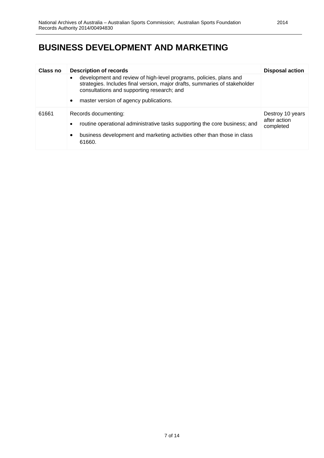### **BUSINESS DEVELOPMENT AND MARKETING**

| <b>Class no</b> | <b>Description of records</b>                                                                                                                                                                                                                                      | <b>Disposal action</b>                        |
|-----------------|--------------------------------------------------------------------------------------------------------------------------------------------------------------------------------------------------------------------------------------------------------------------|-----------------------------------------------|
|                 | development and review of high-level programs, policies, plans and<br>$\bullet$<br>strategies. Includes final version, major drafts, summaries of stakeholder<br>consultations and supporting research; and<br>master version of agency publications.<br>$\bullet$ |                                               |
| 61661           | Records documenting:<br>routine operational administrative tasks supporting the core business; and<br>$\bullet$<br>business development and marketing activities other than those in class<br>$\bullet$<br>61660.                                                  | Destroy 10 years<br>after action<br>completed |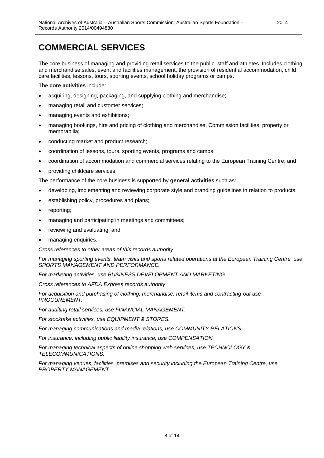### **COMMERCIAL SERVICES**

The core business of managing and providing retail services to the public, staff and athletes. Includes clothing and merchandise sales, event and facilities management, the provision of residential accommodation, child care facilities, lessons, tours, sporting events, school holiday programs or camps.

The **core activities** include:

- acquiring, designing, packaging, and supplying clothing and merchandise;
- managing retail and customer services;
- managing events and exhibitions;
- managing bookings, hire and pricing of clothing and merchandise, Commission facilities, property or memorabilia;
- conducting market and product research;
- coordination of lessons, tours, sporting events, programs and camps;
- coordination of accommodation and commercial services relating to the European Training Centre; and
- providing childcare services.

The performance of the core business is supported by **general activities** such as:

- developing, implementing and reviewing corporate style and branding guidelines in relation to products;
- establishing policy, procedures and plans;
- reporting;
- managing and participating in meetings and committees;
- reviewing and evaluating; and
- managing enquiries.

*Cross references to other areas of this records authority*

*For managing sporting events, team visits and sports related operations at the European Training Centre, use SPORTS MANAGEMENT AND PERFORMANCE.*

*For marketing activities, use BUSINESS DEVELOPMENT AND MARKETING.*

*Cross references to AFDA Express records authority*

*For acquisition and purchasing of clothing, merchandise, retail items and contracting-out use PROCUREMENT.*

*For auditing retail services, use FINANCIAL MANAGEMENT.*

*For stocktake activities, use EQUIPMENT & STORES.*

*For managing communications and media relations, use COMMUNITY RELATIONS.*

*For insurance, including public liability insurance, use COMPENSATION.*

*For managing technical aspects of online shopping web services, use TECHNOLOGY & TELECOMMUNICATIONS.*

*For managing venues, facilities, premises and security including the European Training Centre, use PROPERTY MANAGEMENT.*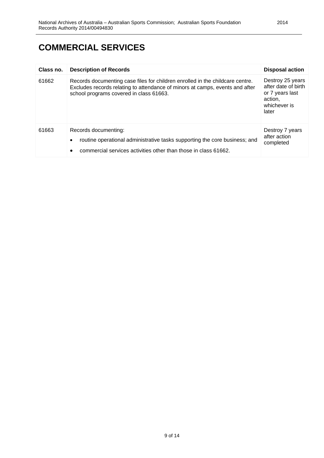### **COMMERCIAL SERVICES**

| Class no. | <b>Description of Records</b>                                                                                                                                                                            | <b>Disposal action</b>                                                                         |
|-----------|----------------------------------------------------------------------------------------------------------------------------------------------------------------------------------------------------------|------------------------------------------------------------------------------------------------|
| 61662     | Records documenting case files for children enrolled in the childcare centre.<br>Excludes records relating to attendance of minors at camps, events and after<br>school programs covered in class 61663. | Destroy 25 years<br>after date of birth<br>or 7 years last<br>action,<br>whichever is<br>later |
| 61663     | Records documenting:<br>routine operational administrative tasks supporting the core business; and<br>$\bullet$<br>commercial services activities other than those in class 61662.<br>٠                  | Destroy 7 years<br>after action<br>completed                                                   |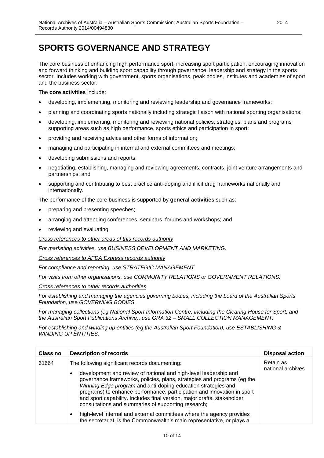#### **SPORTS GOVERNANCE AND STRATEGY**

The core business of enhancing high performance sport, increasing sport participation, encouraging innovation and forward thinking and building sport capability through governance, leadership and strategy in the sports sector. Includes working with government, sports organisations, peak bodies, institutes and academies of sport and the business sector.

#### The **core activities** include:

- developing, implementing, monitoring and reviewing leadership and governance frameworks;
- planning and coordinating sports nationally including strategic liaison with national sporting organisations;
- developing, implementing, monitoring and reviewing national policies, strategies, plans and programs supporting areas such as high performance, sports ethics and participation in sport;
- providing and receiving advice and other forms of information;
- managing and participating in internal and external committees and meetings;
- developing submissions and reports;
- negotiating, establishing, managing and reviewing agreements, contracts, joint venture arrangements and partnerships; and
- supporting and contributing to best practice anti-doping and illicit drug frameworks nationally and internationally.

The performance of the core business is supported by **general activities** such as:

- preparing and presenting speeches;
- arranging and attending conferences, seminars, forums and workshops; and
- reviewing and evaluating.

*Cross references to other areas of this records authority*

*For marketing activities, use BUSINESS DEVELOPMENT AND MARKETING.*

*Cross references to AFDA Express records authority*

*For compliance and reporting, use STRATEGIC MANAGEMENT.*

*For visits from other organisations, use COMMUNITY RELATIONS or GOVERNMENT RELATIONS.*

*Cross references to other records authorities*

*For establishing and managing the agencies governing bodies, including the board of the Australian Sports Foundation, use GOVERNING BODIES.*

*For managing collections (eg National Sport Information Centre, including the Clearing House for Sport, and the Australian Sport Publications Archive), use GRA 32 – SMALL COLLECTION MANAGEMENT.*

*For establishing and winding up entities (eg the Australian Sport Foundation), use ESTABLISHING & WINDING UP ENTITIES.*

| Class no | <b>Description of records</b>                                                                                                                                                                                                                                                                                                                                                                                                                                                            | <b>Disposal action</b>         |
|----------|------------------------------------------------------------------------------------------------------------------------------------------------------------------------------------------------------------------------------------------------------------------------------------------------------------------------------------------------------------------------------------------------------------------------------------------------------------------------------------------|--------------------------------|
| 61664    | The following significant records documenting:<br>development and review of national and high-level leadership and<br>$\bullet$<br>governance frameworks, policies, plans, strategies and programs (eg the<br>Winning Edge program and anti-doping education strategies and<br>programs) to enhance performance, participation and innovation in sport<br>and sport capability. Includes final version, major drafts, stakeholder<br>consultations and summaries of supporting research; | Retain as<br>national archives |
|          | high-level internal and external committees where the agency provides<br>$\bullet$<br>the secretariat, is the Commonwealth's main representative, or plays a                                                                                                                                                                                                                                                                                                                             |                                |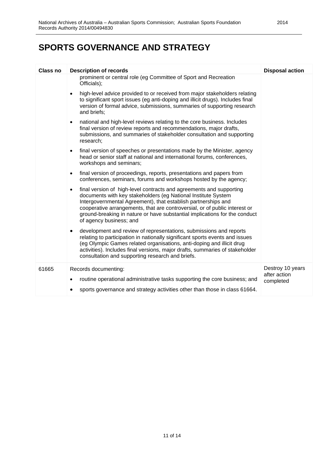### **SPORTS GOVERNANCE AND STRATEGY**

| <b>Class no</b> | <b>Description of records</b>                                                                                                                                                                                                                                                                                                                                                                             | <b>Disposal action</b>           |
|-----------------|-----------------------------------------------------------------------------------------------------------------------------------------------------------------------------------------------------------------------------------------------------------------------------------------------------------------------------------------------------------------------------------------------------------|----------------------------------|
|                 | prominent or central role (eg Committee of Sport and Recreation<br>Officials);                                                                                                                                                                                                                                                                                                                            |                                  |
|                 | high-level advice provided to or received from major stakeholders relating<br>$\bullet$<br>to significant sport issues (eg anti-doping and illicit drugs). Includes final<br>version of formal advice, submissions, summaries of supporting research<br>and briefs;                                                                                                                                       |                                  |
|                 | national and high-level reviews relating to the core business. Includes<br>$\bullet$<br>final version of review reports and recommendations, major drafts,<br>submissions, and summaries of stakeholder consultation and supporting<br>research;                                                                                                                                                          |                                  |
|                 | final version of speeches or presentations made by the Minister, agency<br>$\bullet$<br>head or senior staff at national and international forums, conferences,<br>workshops and seminars;                                                                                                                                                                                                                |                                  |
|                 | final version of proceedings, reports, presentations and papers from<br>$\bullet$<br>conferences, seminars, forums and workshops hosted by the agency;                                                                                                                                                                                                                                                    |                                  |
|                 | final version of high-level contracts and agreements and supporting<br>$\bullet$<br>documents with key stakeholders (eg National Institute System<br>Intergovernmental Agreement), that establish partnerships and<br>cooperative arrangements, that are controversial, or of public interest or<br>ground-breaking in nature or have substantial implications for the conduct<br>of agency business; and |                                  |
|                 | development and review of representations, submissions and reports<br>$\bullet$<br>relating to participation in nationally significant sports events and issues<br>(eg Olympic Games related organisations, anti-doping and illicit drug<br>activities). Includes final versions, major drafts, summaries of stakeholder<br>consultation and supporting research and briefs.                              |                                  |
| 61665           | Records documenting:                                                                                                                                                                                                                                                                                                                                                                                      | Destroy 10 years<br>after action |
|                 | routine operational administrative tasks supporting the core business; and<br>sports governance and strategy activities other than those in class 61664.                                                                                                                                                                                                                                                  | completed                        |
|                 |                                                                                                                                                                                                                                                                                                                                                                                                           |                                  |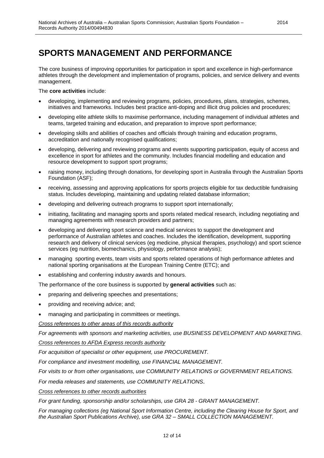#### **SPORTS MANAGEMENT AND PERFORMANCE**

The core business of improving opportunities for participation in sport and excellence in high-performance athletes through the development and implementation of programs, policies, and service delivery and events management.

#### The **core activities** include:

- developing, implementing and reviewing programs, policies, procedures, plans, strategies, schemes, initiatives and frameworks. Includes best practice anti-doping and illicit drug policies and procedures;
- developing elite athlete skills to maximise performance, including management of individual athletes and teams, targeted training and education, and preparation to improve sport performance;
- developing skills and abilities of coaches and officials through training and education programs, accreditation and nationally recognised qualifications;
- developing, delivering and reviewing programs and events supporting participation, equity of access and excellence in sport for athletes and the community. Includes financial modelling and education and resource development to support sport programs;
- raising money, including through donations, for developing sport in Australia through the Australian Sports Foundation (ASF);
- receiving, assessing and approving applications for sports projects eligible for tax deductible fundraising status. Includes developing, maintaining and updating related database information;
- developing and delivering outreach programs to support sport internationally;
- initiating, facilitating and managing sports and sports related medical research, including negotiating and managing agreements with research providers and partners;
- developing and delivering sport science and medical services to support the development and performance of Australian athletes and coaches. Includes the identification, development, supporting research and delivery of clinical services (eg medicine, physical therapies, psychology) and sport science services (eg nutrition, biomechanics, physiology, performance analysis);
- managing sporting events, team visits and sports related operations of high performance athletes and national sporting organisations at the European Training Centre (ETC); and
- establishing and conferring industry awards and honours.

The performance of the core business is supported by **general activities** such as:

- preparing and delivering speeches and presentations;
- providing and receiving advice; and;
- managing and participating in committees or meetings.

*Cross references to other areas of this records authority*

*For agreements with sponsors and marketing activities, use BUSINESS DEVELOPMENT AND MARKETING. Cross references to AFDA Express records authority*

*For acquisition of specialist or other equipment, use PROCUREMENT.*

*For compliance and investment modelling, use FINANCIAL MANAGEMENT.*

*For visits to or from other organisations, use COMMUNITY RELATIONS or GOVERNMENT RELATIONS.*

*For media releases and statements, use COMMUNITY RELATIONS*.

#### *Cross references to other records authorities*

*For grant funding, sponsorship and/or scholarships, use GRA 28 - GRANT MANAGEMENT.*

*For managing collections (eg National Sport Information Centre, including the Clearing House for Sport, and the Australian Sport Publications Archive), use GRA 32 – SMALL COLLECTION MANAGEMENT.*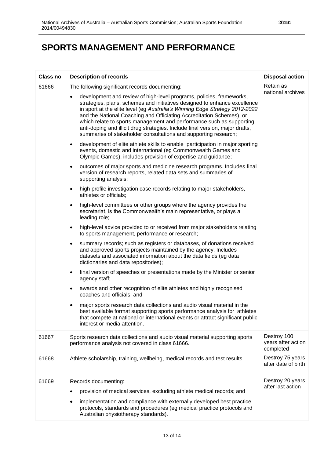### **SPORTS MANAGEMENT AND PERFORMANCE**

| <b>Class no</b> | <b>Description of records</b>                                                                                                                                                                                                                                                                                                                                                                                                                                                                                                        | <b>Disposal action</b>                         |
|-----------------|--------------------------------------------------------------------------------------------------------------------------------------------------------------------------------------------------------------------------------------------------------------------------------------------------------------------------------------------------------------------------------------------------------------------------------------------------------------------------------------------------------------------------------------|------------------------------------------------|
| 61666           | The following significant records documenting:                                                                                                                                                                                                                                                                                                                                                                                                                                                                                       | Retain as<br>national archives                 |
|                 | development and review of high-level programs, policies, frameworks,<br>strategies, plans, schemes and initiatives designed to enhance excellence<br>in sport at the elite level (eg Australia's Winning Edge Strategy 2012-2022<br>and the National Coaching and Officiating Accreditation Schemes), or<br>which relate to sports management and performance such as supporting<br>anti-doping and illicit drug strategies. Include final version, major drafts,<br>summaries of stakeholder consultations and supporting research; |                                                |
|                 | development of elite athlete skills to enable participation in major sporting<br>$\bullet$<br>events, domestic and international (eg Commonwealth Games and<br>Olympic Games), includes provision of expertise and guidance;                                                                                                                                                                                                                                                                                                         |                                                |
|                 | outcomes of major sports and medicine research programs. Includes final<br>$\bullet$<br>version of research reports, related data sets and summaries of<br>supporting analysis;                                                                                                                                                                                                                                                                                                                                                      |                                                |
|                 | high profile investigation case records relating to major stakeholders,<br>٠<br>athletes or officials;                                                                                                                                                                                                                                                                                                                                                                                                                               |                                                |
|                 | high-level committees or other groups where the agency provides the<br>$\bullet$<br>secretariat, is the Commonwealth's main representative, or plays a<br>leading role;                                                                                                                                                                                                                                                                                                                                                              |                                                |
|                 | high-level advice provided to or received from major stakeholders relating<br>$\bullet$<br>to sports management, performance or research;                                                                                                                                                                                                                                                                                                                                                                                            |                                                |
|                 | summary records; such as registers or databases, of donations received<br>٠<br>and approved sports projects maintained by the agency. Includes<br>datasets and associated information about the data fields (eg data<br>dictionaries and data repositories);                                                                                                                                                                                                                                                                         |                                                |
|                 | final version of speeches or presentations made by the Minister or senior<br>$\bullet$<br>agency staff;                                                                                                                                                                                                                                                                                                                                                                                                                              |                                                |
|                 | awards and other recognition of elite athletes and highly recognised<br>$\bullet$<br>coaches and officials; and                                                                                                                                                                                                                                                                                                                                                                                                                      |                                                |
|                 | major sports research data collections and audio visual material in the<br>best available format supporting sports performance analysis for athletes<br>that compete at national or international events or attract significant public<br>interest or media attention.                                                                                                                                                                                                                                                               |                                                |
| 61667           | Sports research data collections and audio visual material supporting sports<br>performance analysis not covered in class 61666.                                                                                                                                                                                                                                                                                                                                                                                                     | Destroy 100<br>years after action<br>completed |
| 61668           | Athlete scholarship, training, wellbeing, medical records and test results.                                                                                                                                                                                                                                                                                                                                                                                                                                                          | Destroy 75 years<br>after date of birth        |
| 61669           | Records documenting:                                                                                                                                                                                                                                                                                                                                                                                                                                                                                                                 | Destroy 20 years<br>after last action          |
|                 | provision of medical services, excluding athlete medical records; and                                                                                                                                                                                                                                                                                                                                                                                                                                                                |                                                |
|                 | implementation and compliance with externally developed best practice<br>$\bullet$<br>protocols, standards and procedures (eg medical practice protocols and<br>Australian physiotherapy standards).                                                                                                                                                                                                                                                                                                                                 |                                                |